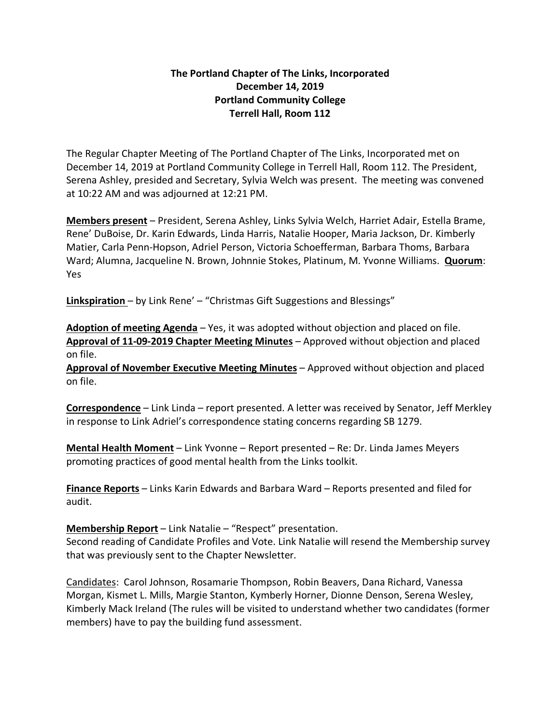## **The Portland Chapter of The Links, Incorporated December 14, 2019 Portland Community College Terrell Hall, Room 112**

The Regular Chapter Meeting of The Portland Chapter of The Links, Incorporated met on December 14, 2019 at Portland Community College in Terrell Hall, Room 112. The President, Serena Ashley, presided and Secretary, Sylvia Welch was present. The meeting was convened at 10:22 AM and was adjourned at 12:21 PM.

**Members present** – President, Serena Ashley, Links Sylvia Welch, Harriet Adair, Estella Brame, Rene' DuBoise, Dr. Karin Edwards, Linda Harris, Natalie Hooper, Maria Jackson, Dr. Kimberly Matier, Carla Penn-Hopson, Adriel Person, Victoria Schoefferman, Barbara Thoms, Barbara Ward; Alumna, Jacqueline N. Brown, Johnnie Stokes, Platinum, M. Yvonne Williams. **Quorum**: Yes

**Linkspiration** – by Link Rene' – "Christmas Gift Suggestions and Blessings"

**Adoption of meeting Agenda** – Yes, it was adopted without objection and placed on file. **Approval of 11-09-2019 Chapter Meeting Minutes** – Approved without objection and placed on file.

**Approval of November Executive Meeting Minutes** – Approved without objection and placed on file.

**Correspondence** – Link Linda – report presented. A letter was received by Senator, Jeff Merkley in response to Link Adriel's correspondence stating concerns regarding SB 1279.

**Mental Health Moment** – Link Yvonne – Report presented – Re: Dr. Linda James Meyers promoting practices of good mental health from the Links toolkit.

**Finance Reports** – Links Karin Edwards and Barbara Ward – Reports presented and filed for audit.

**Membership Report** – Link Natalie – "Respect" presentation.

Second reading of Candidate Profiles and Vote. Link Natalie will resend the Membership survey that was previously sent to the Chapter Newsletter.

Candidates: Carol Johnson, Rosamarie Thompson, Robin Beavers, Dana Richard, Vanessa Morgan, Kismet L. Mills, Margie Stanton, Kymberly Horner, Dionne Denson, Serena Wesley, Kimberly Mack Ireland (The rules will be visited to understand whether two candidates (former members) have to pay the building fund assessment.